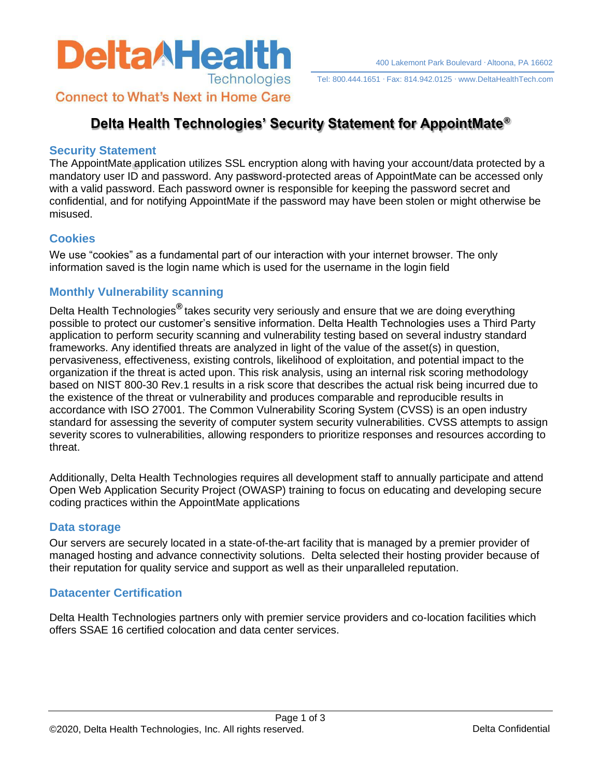

Tel: 800.444.1651 Fax: 814.942.0125 [www.DeltaHealthTech.com](http://www.deltahealthtech.com/)

**Connect to What's Next in Home Care** 

# **Delta Health Technologies' Security Statement for AppointMate®**

#### **Security Statement**

The AppointMate application utilizes SSL encryption along with having your account/data protected by a mandatory user ID and password. Any password-protected areas of AppointMate can be accessed only with a valid password. Each password owner is responsible for keeping the password secret and confidential, and for notifying AppointMate if the password may have been stolen or might otherwise be misused.

## **Cookies**

We use "cookies" as a fundamental part of our interaction with your internet browser. The only information saved is the login name which is used for the username in the login field

## **Monthly Vulnerability scanning**

Delta Health Technologies**®** takes security very seriously and ensure that we are doing everything possible to protect our customer's sensitive information. Delta Health Technologies uses a Third Party application to perform security scanning and vulnerability testing based on several industry standard frameworks. Any identified threats are analyzed in light of the value of the asset(s) in question, pervasiveness, effectiveness, existing controls, likelihood of exploitation, and potential impact to the organization if the threat is acted upon. This risk analysis, using an internal risk scoring methodology based on NIST 800-30 Rev.1 results in a risk score that describes the actual risk being incurred due to the existence of the threat or vulnerability and produces comparable and reproducible results in accordance with ISO 27001. The Common Vulnerability Scoring System (CVSS) is an open industry standard for assessing the severity of computer system security vulnerabilities. CVSS attempts to assign severity scores to vulnerabilities, allowing responders to prioritize responses and resources according to threat.

Additionally, Delta Health Technologies requires all development staff to annually participate and attend Open Web Application Security Project (OWASP) training to focus on educating and developing secure coding practices within the AppointMate applications

## **Data storage**

Our servers are securely located in a state-of-the-art facility that is managed by a premier provider of managed hosting and advance connectivity solutions. Delta selected their hosting provider because of their reputation for quality service and support as well as their unparalleled reputation.

## **Datacenter Certification**

Delta Health Technologies partners only with premier service providers and co-location facilities which offers SSAE 16 certified colocation and data center services.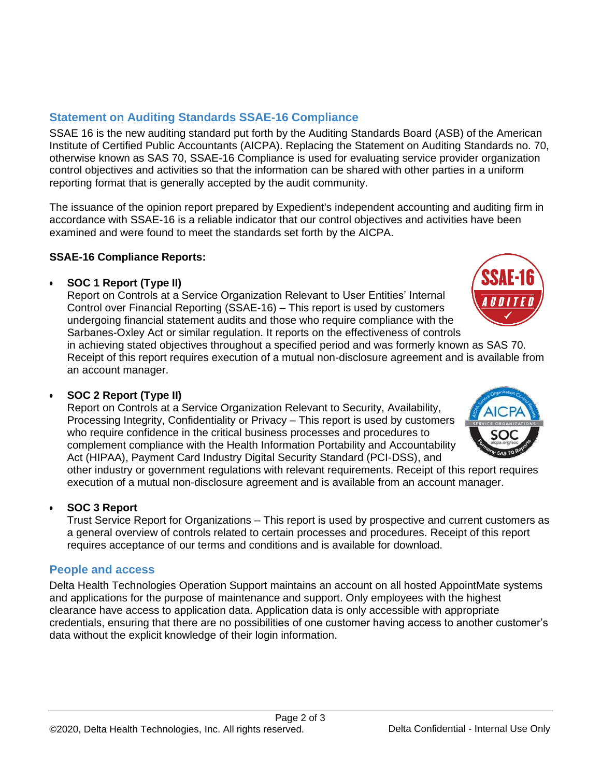# **Statement on Auditing Standards SSAE-16 Compliance**

SSAE 16 is the new auditing standard put forth by the Auditing Standards Board (ASB) of the American Institute of Certified Public Accountants (AICPA). Replacing the Statement on Auditing Standards no. 70, otherwise known as SAS 70, SSAE-16 Compliance is used for evaluating service provider organization control objectives and activities so that the information can be shared with other parties in a uniform reporting format that is generally accepted by the audit community.

The issuance of the opinion report prepared by Expedient's independent accounting and auditing firm in accordance with SSAE-16 is a reliable indicator that our control objectives and activities have been examined and were found to meet the standards set forth by the AICPA.

## **SSAE-16 Compliance Reports:**

## • **SOC 1 Report (Type II)**

Report on Controls at a Service Organization Relevant to User Entities' Internal Control over Financial Reporting (SSAE-16) – This report is used by customers undergoing financial statement audits and those who require compliance with the Sarbanes-Oxley Act or similar regulation. It reports on the effectiveness of controls

in achieving stated objectives throughout a specified period and was formerly known as SAS 70. Receipt of this report requires execution of a mutual non-disclosure agreement and is available from an account manager.

# • **SOC 2 Report (Type II)**

Report on Controls at a Service Organization Relevant to Security, Availability, Processing Integrity, Confidentiality or Privacy – This report is used by customers who require confidence in the critical business processes and procedures to complement compliance with the Health Information Portability and Accountability Act (HIPAA), Payment Card Industry Digital Security Standard (PCI-DSS), and

other industry or government regulations with relevant requirements. Receipt of this report requires execution of a mutual non-disclosure agreement and is available from an account manager.

# • **SOC 3 Report**

Trust Service Report for Organizations – This report is used by prospective and current customers as a general overview of controls related to certain processes and procedures. Receipt of this report requires acceptance of our terms and conditions and is available for download.

# **People and access**

Delta Health Technologies Operation Support maintains an account on all hosted AppointMate systems and applications for the purpose of maintenance and support. Only employees with the highest clearance have access to application data. Application data is only accessible with appropriate credentials, ensuring that there are no possibilities of one customer having access to another customer's data without the explicit knowledge of their login information.